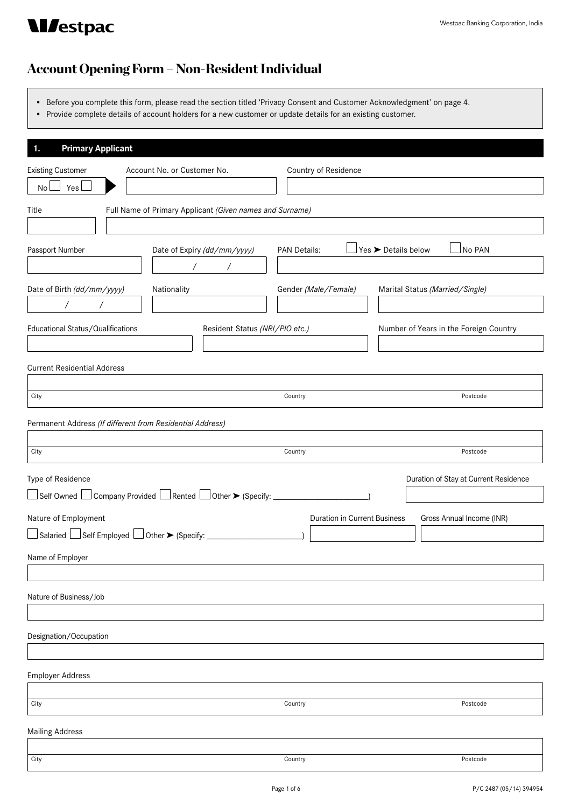

# **Mestpac**

## Account Opening Form – Non-Resident Individual

- • Before you complete this form, please read the section titled 'Privacy Consent and Customer Acknowledgment' on page 4.
- • Provide complete details of account holders for a new customer or update details for an existing customer.

| <b>Primary Applicant</b><br>1.                                                   |                                                                          |                                        |
|----------------------------------------------------------------------------------|--------------------------------------------------------------------------|----------------------------------------|
| <b>Existing Customer</b><br>Account No. or Customer No.                          | Country of Residence                                                     |                                        |
| Yes I<br>No l                                                                    |                                                                          |                                        |
| Full Name of Primary Applicant (Given names and Surname)<br>Title                |                                                                          |                                        |
| Passport Number<br>Date of Expiry (dd/mm/yyyy)<br>$\sqrt{2}$<br>$\sqrt{2}$       | $\exists$ Yes $\blacktriangleright$ Details below<br><b>PAN Details:</b> | No PAN                                 |
| Date of Birth (dd/mm/yyyy)<br>Nationality<br>$\sqrt{2}$<br>$\sqrt{2}$            | Gender (Male/Female)                                                     | Marital Status (Married/Single)        |
| Educational Status/Qualifications<br>Resident Status (NRI/PIO etc.)              |                                                                          | Number of Years in the Foreign Country |
| <b>Current Residential Address</b>                                               |                                                                          |                                        |
| City                                                                             | Country                                                                  | Postcode                               |
| Permanent Address (If different from Residential Address)                        |                                                                          |                                        |
| City                                                                             | Country                                                                  | Postcode                               |
| Type of Residence                                                                |                                                                          | Duration of Stay at Current Residence  |
| □Self Owned □ Company Provided □ Rented □ Other ▶ (Specify: ____________________ |                                                                          |                                        |
| Nature of Employment                                                             | <b>Duration in Current Business</b>                                      | Gross Annual Income (INR)              |
|                                                                                  |                                                                          |                                        |
| Name of Employer                                                                 |                                                                          |                                        |
| Nature of Business/Job                                                           |                                                                          |                                        |
| Designation/Occupation                                                           |                                                                          |                                        |
| <b>Employer Address</b>                                                          |                                                                          |                                        |
| City                                                                             | Country                                                                  | Postcode                               |
| <b>Mailing Address</b>                                                           |                                                                          |                                        |
| City                                                                             | Country                                                                  | Postcode                               |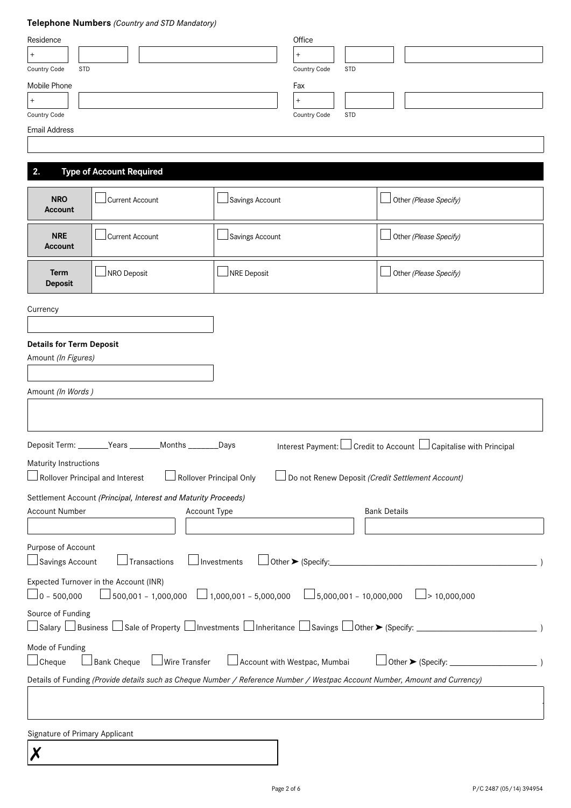### **Telephone Numbers** *(Country and STD Mandatory)*

| Residence<br>$\boldsymbol{+}$                                                                                                                                                                 |                                                 | Office<br>$\qquad \qquad +$                                                  |                                                                          |  |  |
|-----------------------------------------------------------------------------------------------------------------------------------------------------------------------------------------------|-------------------------------------------------|------------------------------------------------------------------------------|--------------------------------------------------------------------------|--|--|
| Country Code<br><b>STD</b><br><b>Mobile Phone</b><br>$\boldsymbol{+}$<br>Country Code                                                                                                         |                                                 | Country Code<br><b>STD</b><br>Fax<br>$\ddot{}$<br>Country Code<br><b>STD</b> |                                                                          |  |  |
| <b>Email Address</b>                                                                                                                                                                          |                                                 |                                                                              |                                                                          |  |  |
| 2.                                                                                                                                                                                            | <b>Type of Account Required</b>                 |                                                                              |                                                                          |  |  |
| <b>NRO</b><br>Account                                                                                                                                                                         | <b>Current Account</b>                          | Savings Account                                                              | Other (Please Specify)                                                   |  |  |
| <b>NRE</b><br>Account                                                                                                                                                                         | <b>Current Account</b>                          | Savings Account                                                              | Other (Please Specify)                                                   |  |  |
| Term<br><b>Deposit</b>                                                                                                                                                                        | NRO Deposit                                     | NRE Deposit                                                                  | Other (Please Specify)                                                   |  |  |
| Currency                                                                                                                                                                                      |                                                 |                                                                              |                                                                          |  |  |
| <b>Details for Term Deposit</b><br>Amount (In Figures)<br>Amount (In Words)                                                                                                                   |                                                 |                                                                              |                                                                          |  |  |
|                                                                                                                                                                                               |                                                 |                                                                              |                                                                          |  |  |
|                                                                                                                                                                                               | Deposit Term: _______Years _______Months ______ | Days_                                                                        | Interest Payment: <u>□</u> Credit to Account □ Capitalise with Principal |  |  |
| Maturity Instructions                                                                                                                                                                         |                                                 |                                                                              |                                                                          |  |  |
| $\Box$ Rollover Principal and Interest                                                                                                                                                        |                                                 | Rollover Principal Only                                                      | Do not Renew Deposit (Credit Settlement Account)                         |  |  |
| Settlement Account (Principal, Interest and Maturity Proceeds)<br><b>Account Number</b><br><b>Bank Details</b><br>Account Type                                                                |                                                 |                                                                              |                                                                          |  |  |
| Purpose of Account<br>$\Box$ Savings Account<br>Transactions<br>△ Other ▶ (Specify: △ Other › (Specify: △ Other › → Other › → Other › → Other › → Other › → Other › → Other ›<br>⊥Investments |                                                 |                                                                              |                                                                          |  |  |
| Expected Turnover in the Account (INR)<br>$500,001 - 1,000,000$ $\Box$ 1,000,001 - 5,000,000 $\Box$ 5,000,001 - 10,000,000<br>$\Box$ 0 – 500,000<br>$\Box$ > 10,000,000                       |                                                 |                                                                              |                                                                          |  |  |
| Source of Funding                                                                                                                                                                             |                                                 |                                                                              |                                                                          |  |  |
| Mode of Funding<br>Account with Westpac, Mumbai<br><b>Bank Cheque</b><br>Wire Transfer<br>$\Box$ Cheque                                                                                       |                                                 |                                                                              |                                                                          |  |  |
| Details of Funding (Provide details such as Cheque Number / Reference Number / Westpac Account Number, Amount and Currency)                                                                   |                                                 |                                                                              |                                                                          |  |  |
|                                                                                                                                                                                               |                                                 |                                                                              |                                                                          |  |  |

Signature of Primary Applicant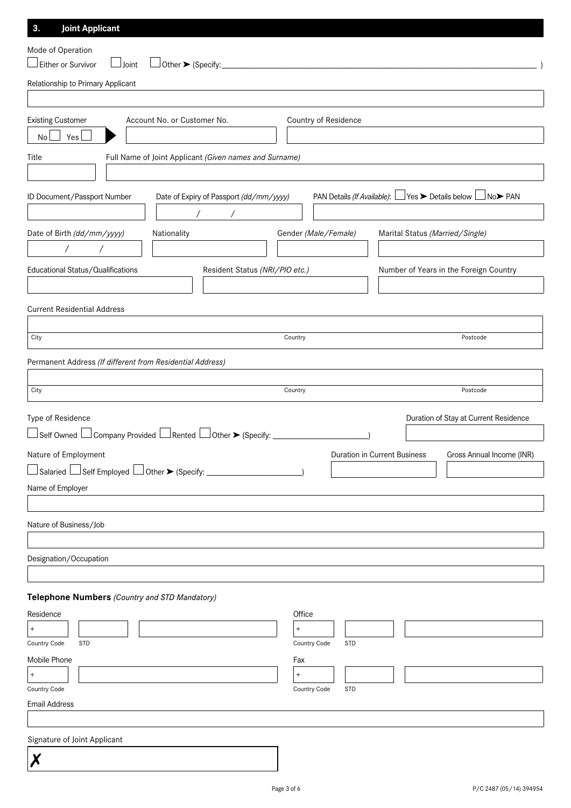| <b>Joint Applicant</b><br>3.                                                                                                |                            |                                                                                            |
|-----------------------------------------------------------------------------------------------------------------------------|----------------------------|--------------------------------------------------------------------------------------------|
| Mode of Operation                                                                                                           |                            |                                                                                            |
| Either or Survivor<br>$\Box$ Joint<br>Other ▶ (Specify:_                                                                    |                            |                                                                                            |
| Relationship to Primary Applicant                                                                                           |                            |                                                                                            |
|                                                                                                                             |                            |                                                                                            |
| <b>Existing Customer</b><br>Account No. or Customer No.                                                                     | Country of Residence       |                                                                                            |
| Yes<br>No                                                                                                                   |                            |                                                                                            |
| Full Name of Joint Applicant (Given names and Surname)<br>Title                                                             |                            |                                                                                            |
| ID Document/Passport Number<br>Date of Expiry of Passport (dd/mm/yyyy)                                                      |                            | PAN Details (If Available): □ Yes > Details below L<br>$\Box$ No $\blacktriangleright$ PAN |
|                                                                                                                             |                            |                                                                                            |
| Date of Birth (dd/mm/yyyy)<br>Nationality                                                                                   | Gender (Male/Female)       | Marital Status (Married/Single)                                                            |
| $\sqrt{2}$                                                                                                                  |                            |                                                                                            |
| Educational Status/Qualifications<br>Resident Status (NRI/PIO etc.)                                                         |                            | Number of Years in the Foreign Country                                                     |
|                                                                                                                             |                            |                                                                                            |
| <b>Current Residential Address</b>                                                                                          |                            |                                                                                            |
|                                                                                                                             |                            |                                                                                            |
| City                                                                                                                        | Country                    | Postcode                                                                                   |
| Permanent Address (If different from Residential Address)                                                                   |                            |                                                                                            |
| City                                                                                                                        | Country                    | Postcode                                                                                   |
|                                                                                                                             |                            |                                                                                            |
| Type of Residence<br>$\Box$ Self Owned $\Box$ Company Provided $\Box$ Rented $\Box$ Other $\blacktriangleright$ (Specify: _ |                            | Duration of Stay at Current Residence                                                      |
|                                                                                                                             |                            |                                                                                            |
| Nature of Employment<br>$\Box$ Salaried $\Box$ Self Employed $\Box$ Other $\blacktriangleright$ (Specify: $\Box$            |                            | Duration in Current Business<br>Gross Annual Income (INR)                                  |
| Name of Employer                                                                                                            |                            |                                                                                            |
|                                                                                                                             |                            |                                                                                            |
| Nature of Business/Job                                                                                                      |                            |                                                                                            |
|                                                                                                                             |                            |                                                                                            |
| Designation/Occupation                                                                                                      |                            |                                                                                            |
|                                                                                                                             |                            |                                                                                            |
| Telephone Numbers (Country and STD Mandatory)                                                                               |                            |                                                                                            |
| Residence                                                                                                                   | Office                     |                                                                                            |
| $^{+}$                                                                                                                      | $^{+}$                     |                                                                                            |
| Country Code<br><b>STD</b>                                                                                                  | Country Code<br><b>STD</b> |                                                                                            |
| Mobile Phone                                                                                                                | Fax                        |                                                                                            |
| $^{+}$                                                                                                                      | $\pmb{+}$                  |                                                                                            |
| Country Code<br><b>Email Address</b>                                                                                        | <b>STD</b><br>Country Code |                                                                                            |
|                                                                                                                             |                            |                                                                                            |
| Signature of Joint Applicant                                                                                                |                            |                                                                                            |
| Χ                                                                                                                           |                            |                                                                                            |
|                                                                                                                             |                            |                                                                                            |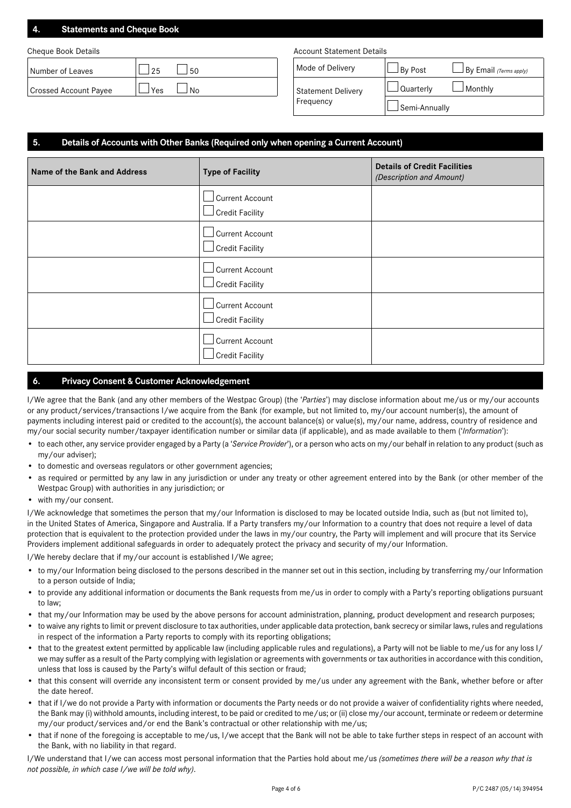### **4. Statements and Cheque Book**

| Number of Leaves      | . 50<br>つら   | Mode of Delivery          | Bv Post     | $\Box$ By Email (Terms apply, |
|-----------------------|--------------|---------------------------|-------------|-------------------------------|
| Crossed Account Payee | 'Yes<br>l No | <b>Statement Delivery</b> | ' Quarterlv | l Monthlv                     |

#### Cheque Book Details **Account Statement Details** Account Statement Details

| Mode of Delivery                       | $\mathsf{I}$ By Post | $\Box$ By Email (Terms apply) |
|----------------------------------------|----------------------|-------------------------------|
| <b>Statement Delivery</b><br>Frequency | $\Box$ Quarterly     | $\Box$ Monthly                |
|                                        | Semi-Annually        |                               |

#### **5. Details of Accounts with Other Banks (Required only when opening a Current Account)**

| Name of the Bank and Address | <b>Type of Facility</b>                                | <b>Details of Credit Facilities</b><br>(Description and Amount) |
|------------------------------|--------------------------------------------------------|-----------------------------------------------------------------|
|                              | Current Account<br>$\Box$ Credit Facility              |                                                                 |
|                              | Current Account<br>$\!\!\!\Box$ Credit Facility        |                                                                 |
|                              | $\Box$ Current Account<br>$\!\!\!\Box$ Credit Facility |                                                                 |
|                              | Current Account<br>$\!\!\!\Box$ Credit Facility        |                                                                 |
|                              | Current Account<br>Credit Facility                     |                                                                 |

#### **6. Privacy Consent & Customer Acknowledgement**

I/We agree that the Bank (and any other members of the Westpac Group) (the '*Parties*') may disclose information about me/us or my/our accounts or any product/services/transactions I/we acquire from the Bank (for example, but not limited to, my/our account number(s), the amount of payments including interest paid or credited to the account(s), the account balance(s) or value(s), my/our name, address, country of residence and my/our social security number/taxpayer identification number or similar data (if applicable), and as made available to them ('*Information*'):

- • to each other, any service provider engaged by a Party (a '*Service Provider*'), or a person who acts on my/our behalf in relation to any product (such as my/our adviser);
- to domestic and overseas regulators or other government agencies;
- as required or permitted by any law in any jurisdiction or under any treaty or other agreement entered into by the Bank (or other member of the Westpac Group) with authorities in any jurisdiction; or
- with my/our consent.

I/We acknowledge that sometimes the person that my/our Information is disclosed to may be located outside India, such as (but not limited to), in the United States of America, Singapore and Australia. If a Party transfers my/our Information to a country that does not require a level of data protection that is equivalent to the protection provided under the laws in my/our country, the Party will implement and will procure that its Service Providers implement additional safeguards in order to adequately protect the privacy and security of my/our Information.

I/We hereby declare that if my/our account is established I/We agree;

- to my/our Information being disclosed to the persons described in the manner set out in this section, including by transferring my/our Information to a person outside of India;
- to provide any additional information or documents the Bank requests from me/us in order to comply with a Party's reporting obligations pursuant to law;
- that my/our Information may be used by the above persons for account administration, planning, product development and research purposes;
- • to waive any rights to limit or prevent disclosure to tax authorities, under applicable data protection, bank secrecy or similar laws, rules and regulations in respect of the information a Party reports to comply with its reporting obligations;
- that to the greatest extent permitted by applicable law (including applicable rules and regulations), a Party will not be liable to me/us for any loss I/ we may suffer as a result of the Party complying with legislation or agreements with governments or tax authorities in accordance with this condition, unless that loss is caused by the Party's wilful default of this section or fraud;
- that this consent will override any inconsistent term or consent provided by me/us under any agreement with the Bank, whether before or after the date hereof.
- that if I/we do not provide a Party with information or documents the Party needs or do not provide a waiver of confidentiality rights where needed, the Bank may (i) withhold amounts, including interest, to be paid or credited to me/us; or (ii) close my/our account, terminate or redeem or determine my/our product/services and/or end the Bank's contractual or other relationship with me/us;
- that if none of the foregoing is acceptable to me/us, I/we accept that the Bank will not be able to take further steps in respect of an account with the Bank, with no liability in that regard.

I/We understand that I/we can access most personal information that the Parties hold about me/us *(sometimes there will be a reason why that is not possible, in which case I/we will be told why)*.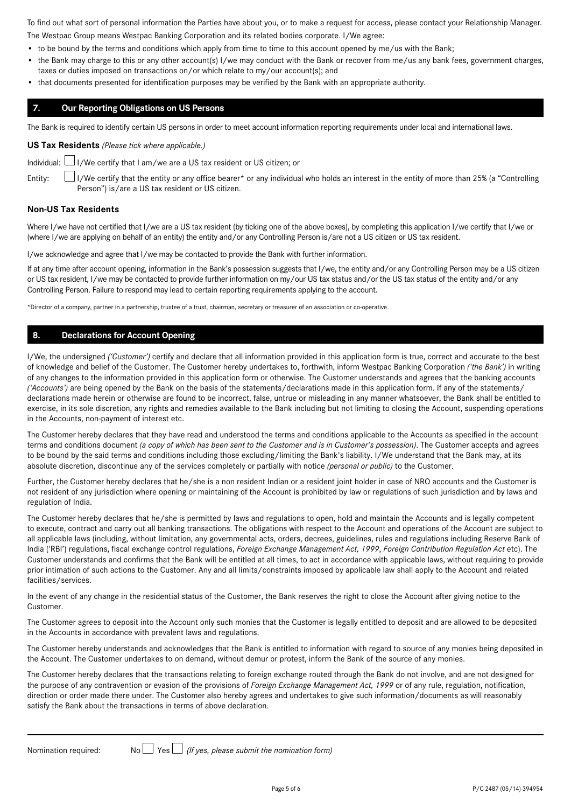To find out what sort of personal information the Parties have about you, or to make a request for access, please contact your Relationship Manager.

The Westpac Group means Westpac Banking Corporation and its related bodies corporate. I/We agree:

- to be bound by the terms and conditions which apply from time to time to this account opened by me/us with the Bank;
- the Bank may charge to this or any other account(s) I/we may conduct with the Bank or recover from me/us any bank fees, government charges, taxes or duties imposed on transactions on/or which relate to my/our account(s); and
- • that documents presented for identification purposes may be verified by the Bank with an appropriate authority.

#### **7. Our Reporting Obligations on US Persons**

The Bank is required to identify certain US persons in order to meet account information reporting requirements under local and international laws.

#### **US Tax Residents** *(Please tick where applicable.)*



Individual:  $\Box$  I/We certify that I am/we are a US tax resident or US citizen; or

Entity: I/We certify that the entity or any office bearer\* or any individual who holds an interest in the entity of more than 25% (a "Controlling Person") is/are a US tax resident or US citizen.

#### **Non-US Tax Residents**

Where I/we have not certified that I/we are a US tax resident (by ticking one of the above boxes), by completing this application I/we certify that I/we or (where I/we are applying on behalf of an entity) the entity and/or any Controlling Person is/are not a US citizen or US tax resident.

I/we acknowledge and agree that I/we may be contacted to provide the Bank with further information.

If at any time after account opening, information in the Bank's possession suggests that I/we, the entity and/or any Controlling Person may be a US citizen or US tax resident, I/we may be contacted to provide further information on my/our US tax status and/or the US tax status of the entity and/or any Controlling Person. Failure to respond may lead to certain reporting requirements applying to the account.

\*Director of a company, partner in a partnership, trustee of a trust, chairman, secretary or treasurer of an association or co-operative.

#### **8. Declarations for Account Opening**

I/We, the undersigned *('Customer')* certify and declare that all information provided in this application form is true, correct and accurate to the best of knowledge and belief of the Customer. The Customer hereby undertakes to, forthwith, inform Westpac Banking Corporation *('the Bank')* in writing of any changes to the information provided in this application form or otherwise. The Customer understands and agrees that the banking accounts *('Accounts')* are being opened by the Bank on the basis of the statements/declarations made in this application form. If any of the statements/ declarations made herein or otherwise are found to be incorrect, false, untrue or misleading in any manner whatsoever, the Bank shall be entitled to exercise, in its sole discretion, any rights and remedies available to the Bank including but not limiting to closing the Account, suspending operations in the Accounts, non-payment of interest etc.

The Customer hereby declares that they have read and understood the terms and conditions applicable to the Accounts as specified in the account terms and conditions document *(a copy of which has been sent to the Customer and is in Customer's possession)*. The Customer accepts and agrees to be bound by the said terms and conditions including those excluding/limiting the Bank's liability. I/We understand that the Bank may, at its absolute discretion, discontinue any of the services completely or partially with notice *(personal or public)* to the Customer.

Further, the Customer hereby declares that he/she is a non resident Indian or a resident joint holder in case of NRO accounts and the Customer is not resident of any jurisdiction where opening or maintaining of the Account is prohibited by law or regulations of such jurisdiction and by laws and regulation of India.

The Customer hereby declares that he/she is permitted by laws and regulations to open, hold and maintain the Accounts and is legally competent to execute, contract and carry out all banking transactions. The obligations with respect to the Account and operations of the Account are subject to all applicable laws (including, without limitation, any governmental acts, orders, decrees, guidelines, rules and regulations including Reserve Bank of India ('RBI') regulations, fiscal exchange control regulations, *Foreign Exchange Management Act, 1999*, *Foreign Contribution Regulation Act* etc). The Customer understands and confirms that the Bank will be entitled at all times, to act in accordance with applicable laws, without requiring to provide prior intimation of such actions to the Customer. Any and all limits/constraints imposed by applicable law shall apply to the Account and related facilities/services.

In the event of any change in the residential status of the Customer, the Bank reserves the right to close the Account after giving notice to the Customer.

The Customer agrees to deposit into the Account only such monies that the Customer is legally entitled to deposit and are allowed to be deposited in the Accounts in accordance with prevalent laws and regulations.

The Customer hereby understands and acknowledges that the Bank is entitled to information with regard to source of any monies being deposited in the Account. The Customer undertakes to on demand, without demur or protest, inform the Bank of the source of any monies.

The Customer hereby declares that the transactions relating to foreign exchange routed through the Bank do not involve, and are not designed for the purpose of any contravention or evasion of the provisions of *Foreign Exchange Management Act, 1999* or of any rule, regulation, notification, direction or order made there under. The Customer also hereby agrees and undertakes to give such information/documents as will reasonably satisfy the Bank about the transactions in terms of above declaration.

Nomination required:  $N_0 \Box$  Yes  $\Box$  (If yes, please submit the nomination form)